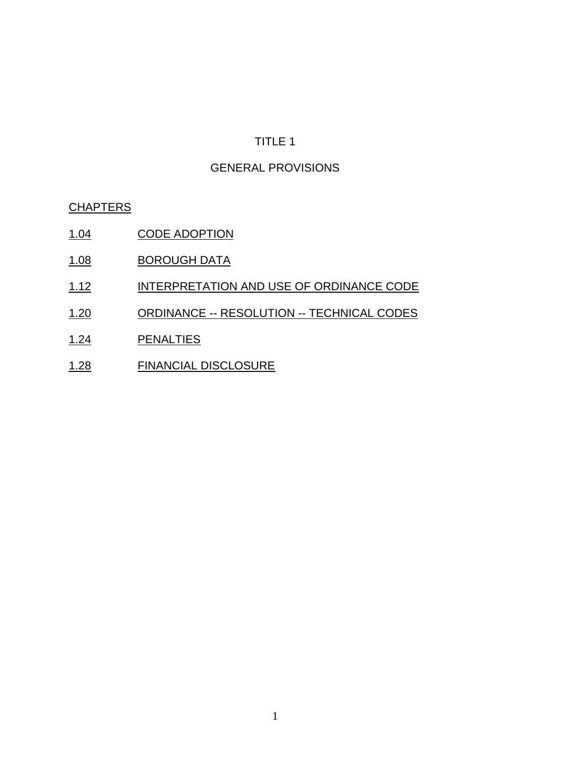# GENERAL PROVISIONS

#### **CHAPTERS**

- 1.04 CODE ADOPTION
- 1.08 BOROUGH DATA
- 1.12 INTERPRETATION AND USE OF ORDINANCE CODE
- 1.20 ORDINANCE -- RESOLUTION -- TECHNICAL CODES
- 1.24 PENALTIES
- 1.28 FINANCIAL DISCLOSURE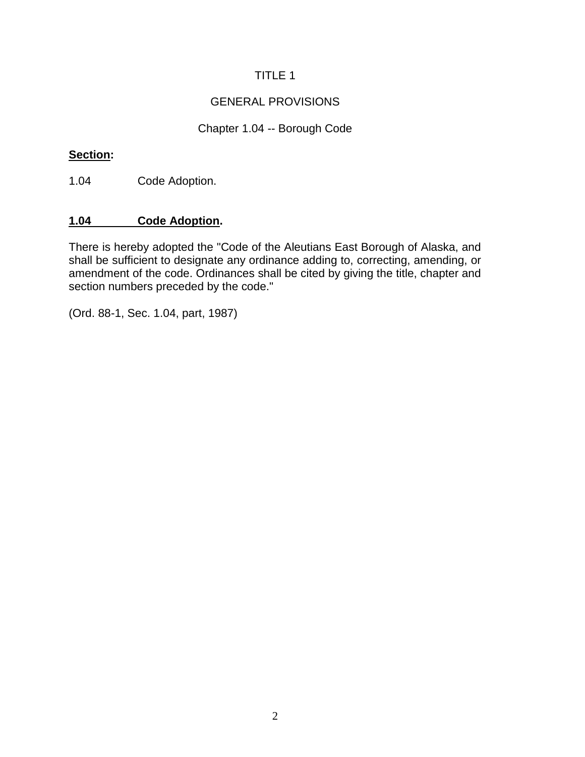## GENERAL PROVISIONS

# Chapter 1.04 -- Borough Code

#### **Section:**

1.04 Code Adoption.

### **1.04 Code Adoption.**

There is hereby adopted the "Code of the Aleutians East Borough of Alaska, and shall be sufficient to designate any ordinance adding to, correcting, amending, or amendment of the code. Ordinances shall be cited by giving the title, chapter and section numbers preceded by the code."

(Ord. 88-1, Sec. 1.04, part, 1987)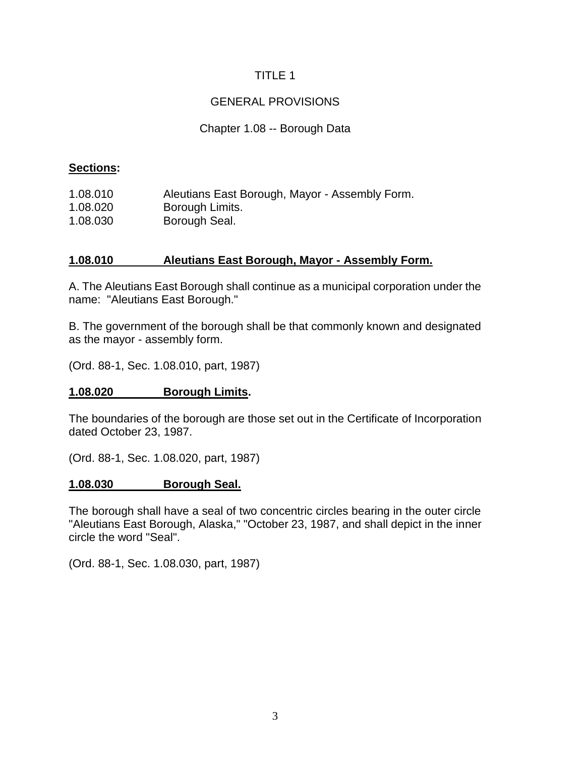## GENERAL PROVISIONS

#### Chapter 1.08 -- Borough Data

#### **Sections:**

| 1.08.010 | Aleutians East Borough, Mayor - Assembly Form. |
|----------|------------------------------------------------|
| 1.08.020 | Borough Limits.                                |
| 1.08.030 | Borough Seal.                                  |

#### **1.08.010 Aleutians East Borough, Mayor - Assembly Form.**

A. The Aleutians East Borough shall continue as a municipal corporation under the name: "Aleutians East Borough."

B. The government of the borough shall be that commonly known and designated as the mayor - assembly form.

(Ord. 88-1, Sec. 1.08.010, part, 1987)

#### **1.08.020 Borough Limits.**

The boundaries of the borough are those set out in the Certificate of Incorporation dated October 23, 1987.

(Ord. 88-1, Sec. 1.08.020, part, 1987)

#### **1.08.030 Borough Seal.**

The borough shall have a seal of two concentric circles bearing in the outer circle "Aleutians East Borough, Alaska," "October 23, 1987, and shall depict in the inner circle the word "Seal".

(Ord. 88-1, Sec. 1.08.030, part, 1987)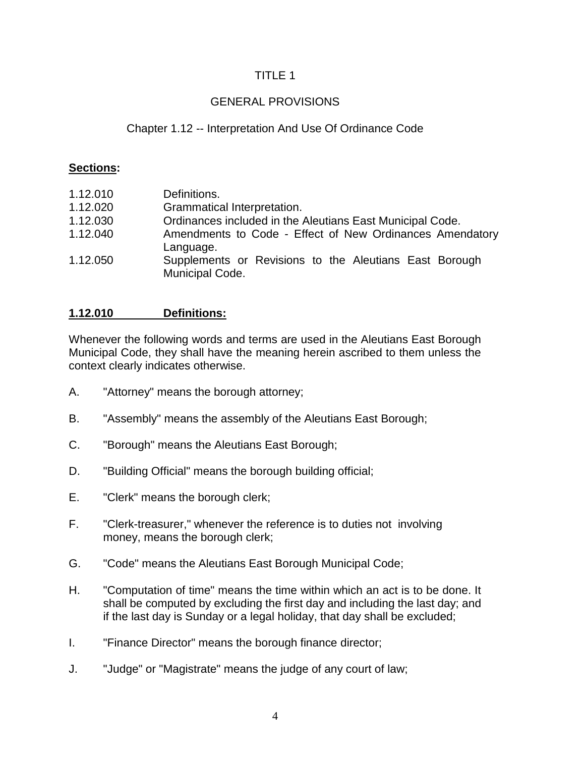## GENERAL PROVISIONS

## Chapter 1.12 -- Interpretation And Use Of Ordinance Code

#### **Sections:**

| 1.12.010 | Definitions.                                                              |
|----------|---------------------------------------------------------------------------|
| 1.12.020 | Grammatical Interpretation.                                               |
| 1.12.030 | Ordinances included in the Aleutians East Municipal Code.                 |
| 1.12.040 | Amendments to Code - Effect of New Ordinances Amendatory<br>Language.     |
| 1.12.050 | Supplements or Revisions to the Aleutians East Borough<br>Municipal Code. |

#### **1.12.010 Definitions:**

Whenever the following words and terms are used in the Aleutians East Borough Municipal Code, they shall have the meaning herein ascribed to them unless the context clearly indicates otherwise.

- A. "Attorney" means the borough attorney;
- B. "Assembly" means the assembly of the Aleutians East Borough;
- C. "Borough" means the Aleutians East Borough;
- D. "Building Official" means the borough building official;
- E. "Clerk" means the borough clerk;
- F. "Clerk-treasurer," whenever the reference is to duties not involving money, means the borough clerk;
- G. "Code" means the Aleutians East Borough Municipal Code;
- H. "Computation of time" means the time within which an act is to be done. It shall be computed by excluding the first day and including the last day; and if the last day is Sunday or a legal holiday, that day shall be excluded;
- I. "Finance Director" means the borough finance director;
- J. "Judge" or "Magistrate" means the judge of any court of law;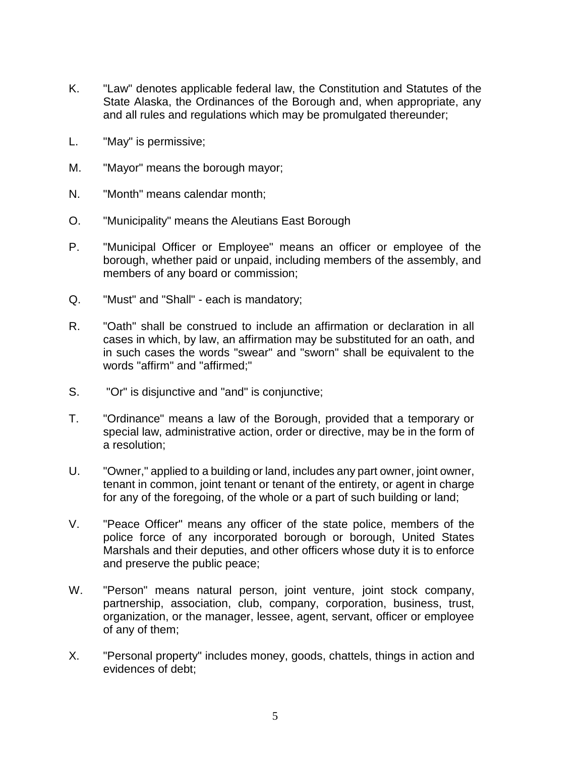- K. "Law" denotes applicable federal law, the Constitution and Statutes of the State Alaska, the Ordinances of the Borough and, when appropriate, any and all rules and regulations which may be promulgated thereunder;
- L. "May" is permissive;
- M. "Mayor" means the borough mayor;
- N. "Month" means calendar month;
- O. "Municipality" means the Aleutians East Borough
- P. "Municipal Officer or Employee" means an officer or employee of the borough, whether paid or unpaid, including members of the assembly, and members of any board or commission;
- Q. "Must" and "Shall" each is mandatory;
- R. "Oath" shall be construed to include an affirmation or declaration in all cases in which, by law, an affirmation may be substituted for an oath, and in such cases the words "swear" and "sworn" shall be equivalent to the words "affirm" and "affirmed;"
- S. "Or" is disjunctive and "and" is conjunctive;
- T. "Ordinance" means a law of the Borough, provided that a temporary or special law, administrative action, order or directive, may be in the form of a resolution;
- U. "Owner," applied to a building or land, includes any part owner, joint owner, tenant in common, joint tenant or tenant of the entirety, or agent in charge for any of the foregoing, of the whole or a part of such building or land;
- V. "Peace Officer" means any officer of the state police, members of the police force of any incorporated borough or borough, United States Marshals and their deputies, and other officers whose duty it is to enforce and preserve the public peace;
- W. "Person" means natural person, joint venture, joint stock company, partnership, association, club, company, corporation, business, trust, organization, or the manager, lessee, agent, servant, officer or employee of any of them;
- X. "Personal property" includes money, goods, chattels, things in action and evidences of debt;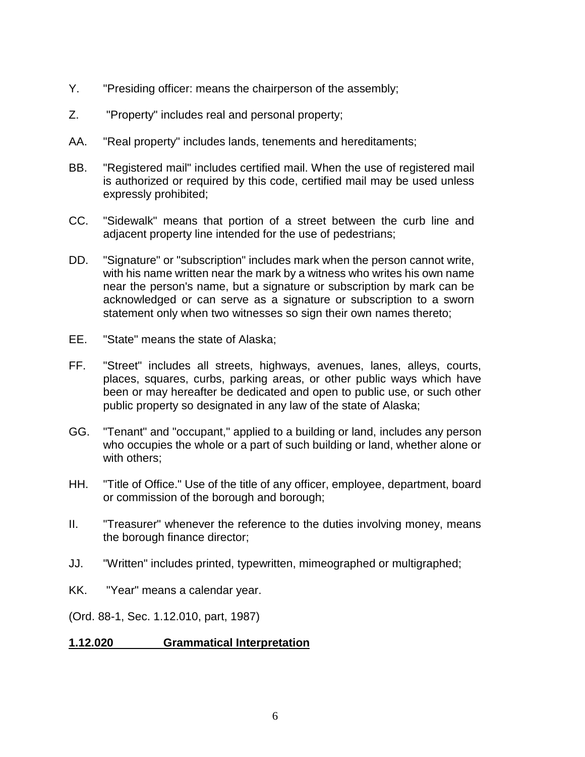- Y. "Presiding officer: means the chairperson of the assembly;
- Z. "Property" includes real and personal property;
- AA. "Real property" includes lands, tenements and hereditaments;
- BB. "Registered mail" includes certified mail. When the use of registered mail is authorized or required by this code, certified mail may be used unless expressly prohibited;
- CC. "Sidewalk" means that portion of a street between the curb line and adjacent property line intended for the use of pedestrians;
- DD. "Signature" or "subscription" includes mark when the person cannot write, with his name written near the mark by a witness who writes his own name near the person's name, but a signature or subscription by mark can be acknowledged or can serve as a signature or subscription to a sworn statement only when two witnesses so sign their own names thereto;
- EE. "State" means the state of Alaska;
- FF. "Street" includes all streets, highways, avenues, lanes, alleys, courts, places, squares, curbs, parking areas, or other public ways which have been or may hereafter be dedicated and open to public use, or such other public property so designated in any law of the state of Alaska;
- GG. "Tenant" and "occupant," applied to a building or land, includes any person who occupies the whole or a part of such building or land, whether alone or with others;
- HH. "Title of Office." Use of the title of any officer, employee, department, board or commission of the borough and borough;
- II. "Treasurer" whenever the reference to the duties involving money, means the borough finance director;
- JJ. "Written" includes printed, typewritten, mimeographed or multigraphed;
- KK. "Year" means a calendar year.
- (Ord. 88-1, Sec. 1.12.010, part, 1987)

# **1.12.020 Grammatical Interpretation**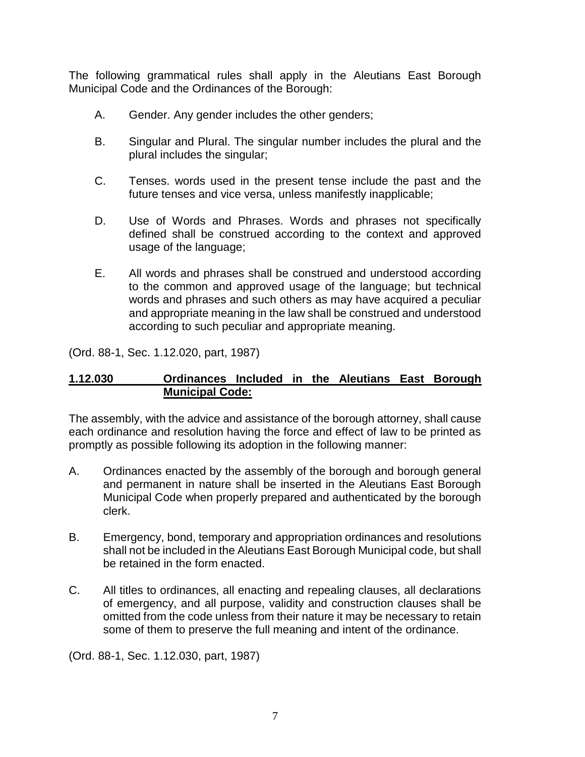The following grammatical rules shall apply in the Aleutians East Borough Municipal Code and the Ordinances of the Borough:

- A. Gender. Any gender includes the other genders;
- B. Singular and Plural. The singular number includes the plural and the plural includes the singular;
- C. Tenses. words used in the present tense include the past and the future tenses and vice versa, unless manifestly inapplicable;
- D. Use of Words and Phrases. Words and phrases not specifically defined shall be construed according to the context and approved usage of the language;
- E. All words and phrases shall be construed and understood according to the common and approved usage of the language; but technical words and phrases and such others as may have acquired a peculiar and appropriate meaning in the law shall be construed and understood according to such peculiar and appropriate meaning.

(Ord. 88-1, Sec. 1.12.020, part, 1987)

### **1.12.030 Ordinances Included in the Aleutians East Borough Municipal Code:**

The assembly, with the advice and assistance of the borough attorney, shall cause each ordinance and resolution having the force and effect of law to be printed as promptly as possible following its adoption in the following manner:

- A. Ordinances enacted by the assembly of the borough and borough general and permanent in nature shall be inserted in the Aleutians East Borough Municipal Code when properly prepared and authenticated by the borough clerk.
- B. Emergency, bond, temporary and appropriation ordinances and resolutions shall not be included in the Aleutians East Borough Municipal code, but shall be retained in the form enacted.
- C. All titles to ordinances, all enacting and repealing clauses, all declarations of emergency, and all purpose, validity and construction clauses shall be omitted from the code unless from their nature it may be necessary to retain some of them to preserve the full meaning and intent of the ordinance.

(Ord. 88-1, Sec. 1.12.030, part, 1987)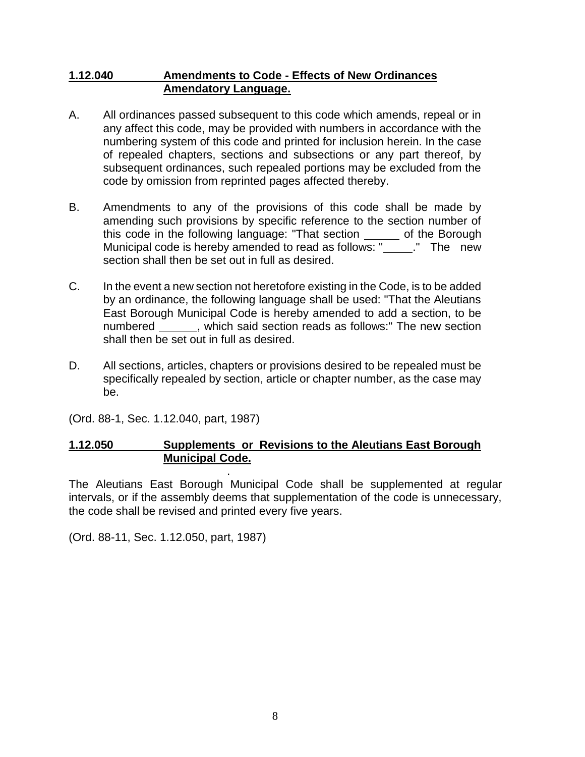#### **1.12.040 Amendments to Code - Effects of New Ordinances Amendatory Language.**

- A. All ordinances passed subsequent to this code which amends, repeal or in any affect this code, may be provided with numbers in accordance with the numbering system of this code and printed for inclusion herein. In the case of repealed chapters, sections and subsections or any part thereof, by subsequent ordinances, such repealed portions may be excluded from the code by omission from reprinted pages affected thereby.
- B. Amendments to any of the provisions of this code shall be made by amending such provisions by specific reference to the section number of this code in the following language: "That section \_\_\_\_\_ of the Borough Municipal code is hereby amended to read as follows: "\_\_\_\_\_." The new section shall then be set out in full as desired.
- C. In the event a new section not heretofore existing in the Code, is to be added by an ordinance, the following language shall be used: "That the Aleutians East Borough Municipal Code is hereby amended to add a section, to be numbered \_\_\_\_\_\_, which said section reads as follows:" The new section shall then be set out in full as desired.
- D. All sections, articles, chapters or provisions desired to be repealed must be specifically repealed by section, article or chapter number, as the case may be.

(Ord. 88-1, Sec. 1.12.040, part, 1987)

# **1.12.050 Supplements or Revisions to the Aleutians East Borough Municipal Code.**

. The Aleutians East Borough Municipal Code shall be supplemented at regular intervals, or if the assembly deems that supplementation of the code is unnecessary, the code shall be revised and printed every five years.

(Ord. 88-11, Sec. 1.12.050, part, 1987)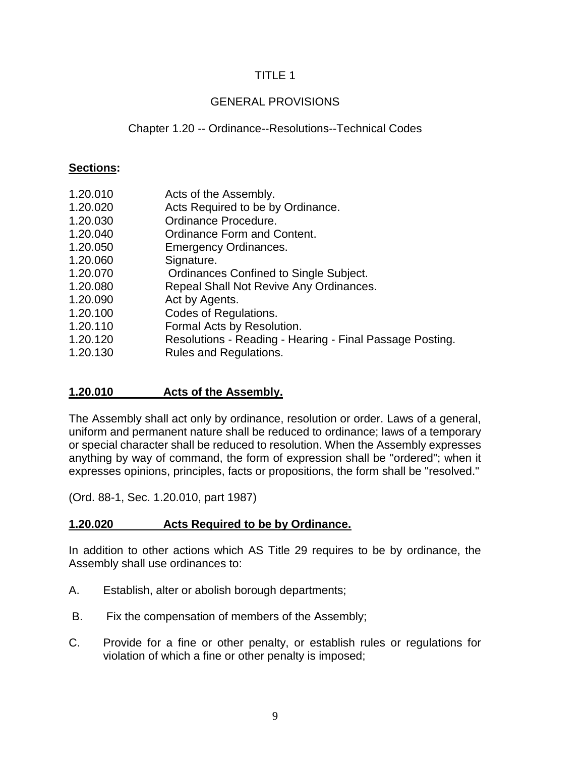# GENERAL PROVISIONS

# Chapter 1.20 -- Ordinance--Resolutions--Technical Codes

## **Sections:**

| Acts of the Assembly. |
|-----------------------|
|                       |

- 1.20.020 Acts Required to be by Ordinance.
- 1.20.030 Ordinance Procedure.
- 1.20.040 Ordinance Form and Content.
- 1.20.050 Emergency Ordinances.
- 1.20.060 Signature.
- 1.20.070 Ordinances Confined to Single Subject.
- 1.20.080 Repeal Shall Not Revive Any Ordinances.
- 1.20.090 Act by Agents.
- 1.20.100 Codes of Regulations.
- 1.20.110 Formal Acts by Resolution.
- 1.20.120 Resolutions Reading Hearing Final Passage Posting.
- 1.20.130 Rules and Regulations.

# **1.20.010 Acts of the Assembly.**

The Assembly shall act only by ordinance, resolution or order. Laws of a general, uniform and permanent nature shall be reduced to ordinance; laws of a temporary or special character shall be reduced to resolution. When the Assembly expresses anything by way of command, the form of expression shall be "ordered"; when it expresses opinions, principles, facts or propositions, the form shall be "resolved."

(Ord. 88-1, Sec. 1.20.010, part 1987)

# **1.20.020 Acts Required to be by Ordinance.**

In addition to other actions which AS Title 29 requires to be by ordinance, the Assembly shall use ordinances to:

- A. Establish, alter or abolish borough departments;
- B. Fix the compensation of members of the Assembly;
- C. Provide for a fine or other penalty, or establish rules or regulations for violation of which a fine or other penalty is imposed;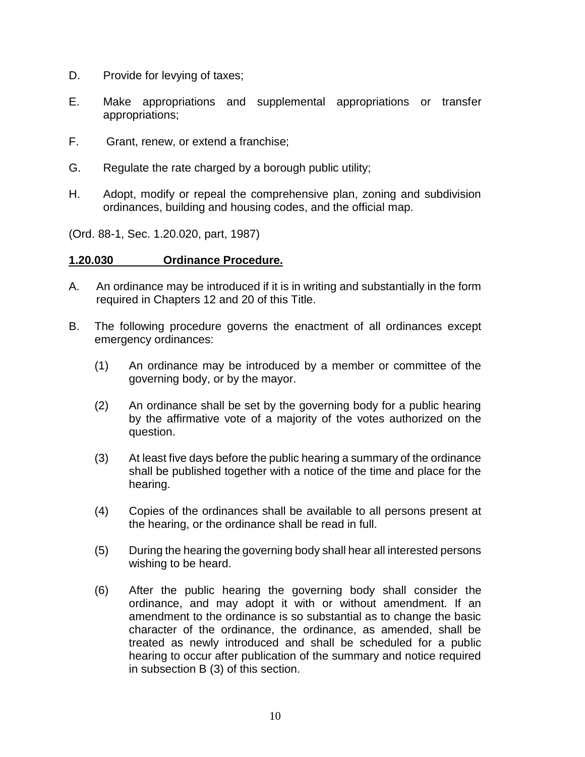- D. Provide for levying of taxes;
- E. Make appropriations and supplemental appropriations or transfer appropriations;
- F. Grant, renew, or extend a franchise;
- G. Regulate the rate charged by a borough public utility;
- H. Adopt, modify or repeal the comprehensive plan, zoning and subdivision ordinances, building and housing codes, and the official map.

(Ord. 88-1, Sec. 1.20.020, part, 1987)

#### **1.20.030 Ordinance Procedure.**

- A. An ordinance may be introduced if it is in writing and substantially in the form required in Chapters 12 and 20 of this Title.
- B. The following procedure governs the enactment of all ordinances except emergency ordinances:
	- (1) An ordinance may be introduced by a member or committee of the governing body, or by the mayor.
	- (2) An ordinance shall be set by the governing body for a public hearing by the affirmative vote of a majority of the votes authorized on the question.
	- (3) At least five days before the public hearing a summary of the ordinance shall be published together with a notice of the time and place for the hearing.
	- (4) Copies of the ordinances shall be available to all persons present at the hearing, or the ordinance shall be read in full.
	- (5) During the hearing the governing body shall hear all interested persons wishing to be heard.
	- (6) After the public hearing the governing body shall consider the ordinance, and may adopt it with or without amendment. If an amendment to the ordinance is so substantial as to change the basic character of the ordinance, the ordinance, as amended, shall be treated as newly introduced and shall be scheduled for a public hearing to occur after publication of the summary and notice required in subsection B (3) of this section.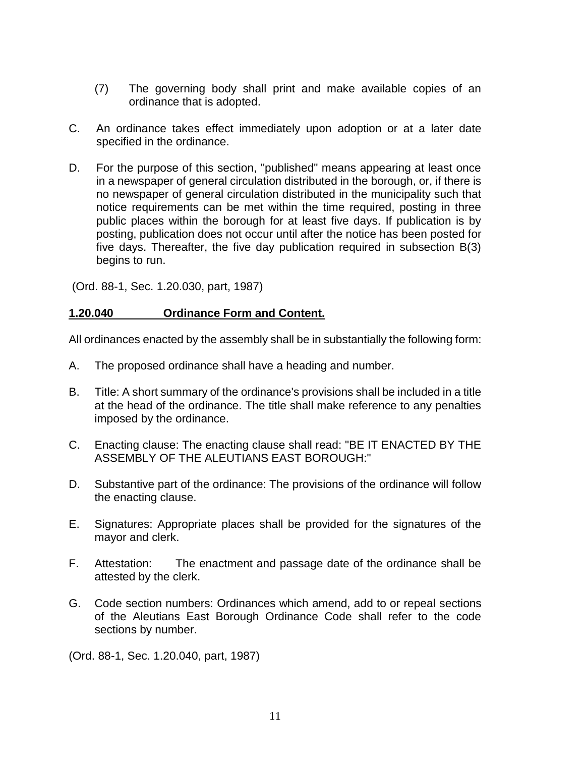- (7) The governing body shall print and make available copies of an ordinance that is adopted.
- C. An ordinance takes effect immediately upon adoption or at a later date specified in the ordinance.
- D. For the purpose of this section, "published" means appearing at least once in a newspaper of general circulation distributed in the borough, or, if there is no newspaper of general circulation distributed in the municipality such that notice requirements can be met within the time required, posting in three public places within the borough for at least five days. If publication is by posting, publication does not occur until after the notice has been posted for five days. Thereafter, the five day publication required in subsection B(3) begins to run.

(Ord. 88-1, Sec. 1.20.030, part, 1987)

### **1.20.040 Ordinance Form and Content.**

All ordinances enacted by the assembly shall be in substantially the following form:

- A. The proposed ordinance shall have a heading and number.
- B. Title: A short summary of the ordinance's provisions shall be included in a title at the head of the ordinance. The title shall make reference to any penalties imposed by the ordinance.
- C. Enacting clause: The enacting clause shall read: "BE IT ENACTED BY THE ASSEMBLY OF THE ALEUTIANS EAST BOROUGH:"
- D. Substantive part of the ordinance: The provisions of the ordinance will follow the enacting clause.
- E. Signatures: Appropriate places shall be provided for the signatures of the mayor and clerk.
- F. Attestation: The enactment and passage date of the ordinance shall be attested by the clerk.
- G. Code section numbers: Ordinances which amend, add to or repeal sections of the Aleutians East Borough Ordinance Code shall refer to the code sections by number.

(Ord. 88-1, Sec. 1.20.040, part, 1987)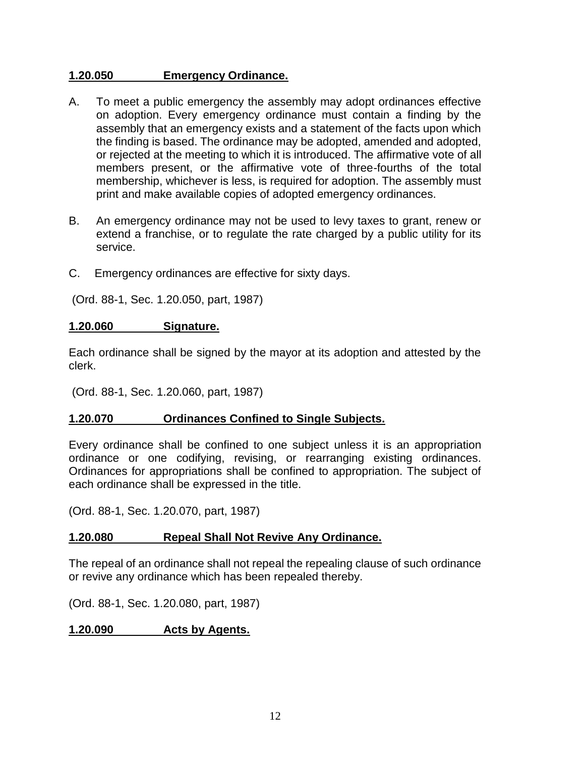#### **1.20.050 Emergency Ordinance.**

- A. To meet a public emergency the assembly may adopt ordinances effective on adoption. Every emergency ordinance must contain a finding by the assembly that an emergency exists and a statement of the facts upon which the finding is based. The ordinance may be adopted, amended and adopted, or rejected at the meeting to which it is introduced. The affirmative vote of all members present, or the affirmative vote of three-fourths of the total membership, whichever is less, is required for adoption. The assembly must print and make available copies of adopted emergency ordinances.
- B. An emergency ordinance may not be used to levy taxes to grant, renew or extend a franchise, or to regulate the rate charged by a public utility for its service.
- C. Emergency ordinances are effective for sixty days.

(Ord. 88-1, Sec. 1.20.050, part, 1987)

#### **1.20.060 Signature.**

Each ordinance shall be signed by the mayor at its adoption and attested by the clerk.

(Ord. 88-1, Sec. 1.20.060, part, 1987)

#### **1.20.070 Ordinances Confined to Single Subjects.**

Every ordinance shall be confined to one subject unless it is an appropriation ordinance or one codifying, revising, or rearranging existing ordinances. Ordinances for appropriations shall be confined to appropriation. The subject of each ordinance shall be expressed in the title.

(Ord. 88-1, Sec. 1.20.070, part, 1987)

#### **1.20.080 Repeal Shall Not Revive Any Ordinance.**

The repeal of an ordinance shall not repeal the repealing clause of such ordinance or revive any ordinance which has been repealed thereby.

(Ord. 88-1, Sec. 1.20.080, part, 1987)

#### **1.20.090 Acts by Agents.**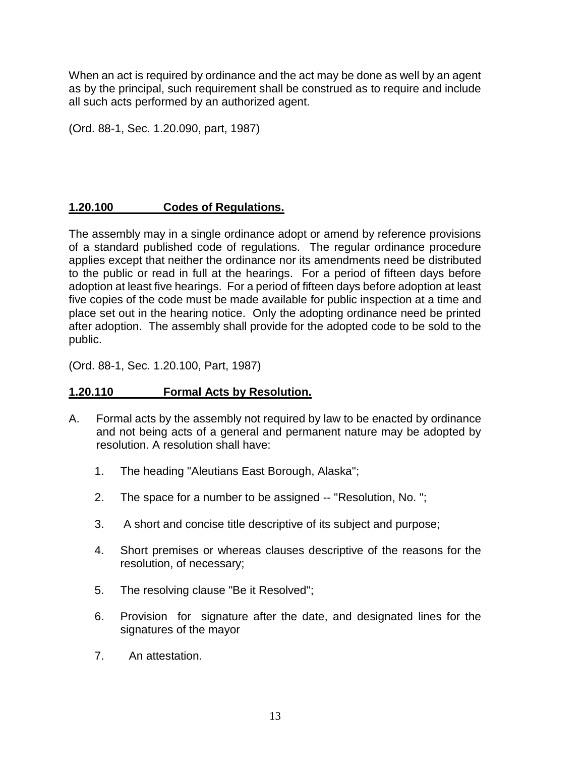When an act is required by ordinance and the act may be done as well by an agent as by the principal, such requirement shall be construed as to require and include all such acts performed by an authorized agent.

(Ord. 88-1, Sec. 1.20.090, part, 1987)

# **1.20.100 Codes of Regulations.**

The assembly may in a single ordinance adopt or amend by reference provisions of a standard published code of regulations. The regular ordinance procedure applies except that neither the ordinance nor its amendments need be distributed to the public or read in full at the hearings. For a period of fifteen days before adoption at least five hearings. For a period of fifteen days before adoption at least five copies of the code must be made available for public inspection at a time and place set out in the hearing notice. Only the adopting ordinance need be printed after adoption. The assembly shall provide for the adopted code to be sold to the public.

(Ord. 88-1, Sec. 1.20.100, Part, 1987)

# **1.20.110 Formal Acts by Resolution.**

- A. Formal acts by the assembly not required by law to be enacted by ordinance and not being acts of a general and permanent nature may be adopted by resolution. A resolution shall have:
	- 1. The heading "Aleutians East Borough, Alaska";
	- 2. The space for a number to be assigned -- "Resolution, No. ";
	- 3. A short and concise title descriptive of its subject and purpose;
	- 4. Short premises or whereas clauses descriptive of the reasons for the resolution, of necessary;
	- 5. The resolving clause "Be it Resolved";
	- 6. Provision for signature after the date, and designated lines for the signatures of the mayor
	- 7. An attestation.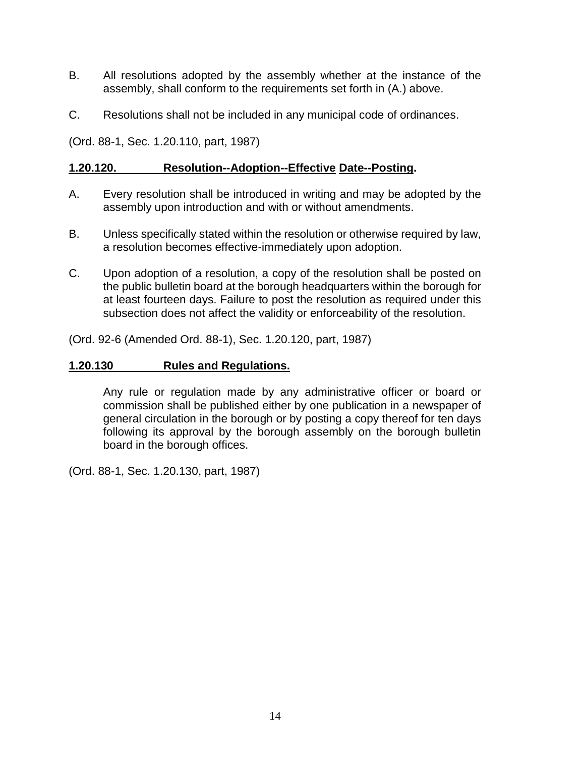- B. All resolutions adopted by the assembly whether at the instance of the assembly, shall conform to the requirements set forth in (A.) above.
- C. Resolutions shall not be included in any municipal code of ordinances.

(Ord. 88-1, Sec. 1.20.110, part, 1987)

#### **1.20.120. Resolution--Adoption--Effective Date--Posting.**

- A. Every resolution shall be introduced in writing and may be adopted by the assembly upon introduction and with or without amendments.
- B. Unless specifically stated within the resolution or otherwise required by law, a resolution becomes effective-immediately upon adoption.
- C. Upon adoption of a resolution, a copy of the resolution shall be posted on the public bulletin board at the borough headquarters within the borough for at least fourteen days. Failure to post the resolution as required under this subsection does not affect the validity or enforceability of the resolution.

(Ord. 92-6 (Amended Ord. 88-1), Sec. 1.20.120, part, 1987)

#### **1.20.130 Rules and Regulations.**

Any rule or regulation made by any administrative officer or board or commission shall be published either by one publication in a newspaper of general circulation in the borough or by posting a copy thereof for ten days following its approval by the borough assembly on the borough bulletin board in the borough offices.

(Ord. 88-1, Sec. 1.20.130, part, 1987)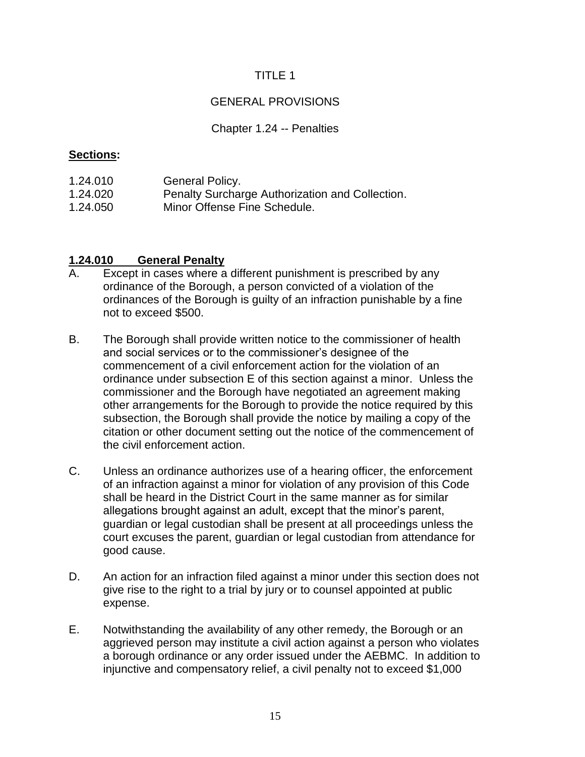# GENERAL PROVISIONS

#### Chapter 1.24 -- Penalties

#### **Sections:**

1.24.010 General Policy. 1.24.020 Penalty Surcharge Authorization and Collection. 1.24.050 Minor Offense Fine Schedule.

# **1.24.010 General Penalty**

- A. Except in cases where a different punishment is prescribed by any ordinance of the Borough, a person convicted of a violation of the ordinances of the Borough is guilty of an infraction punishable by a fine not to exceed \$500.
- B. The Borough shall provide written notice to the commissioner of health and social services or to the commissioner's designee of the commencement of a civil enforcement action for the violation of an ordinance under subsection E of this section against a minor. Unless the commissioner and the Borough have negotiated an agreement making other arrangements for the Borough to provide the notice required by this subsection, the Borough shall provide the notice by mailing a copy of the citation or other document setting out the notice of the commencement of the civil enforcement action.
- C. Unless an ordinance authorizes use of a hearing officer, the enforcement of an infraction against a minor for violation of any provision of this Code shall be heard in the District Court in the same manner as for similar allegations brought against an adult, except that the minor's parent, guardian or legal custodian shall be present at all proceedings unless the court excuses the parent, guardian or legal custodian from attendance for good cause.
- D. An action for an infraction filed against a minor under this section does not give rise to the right to a trial by jury or to counsel appointed at public expense.
- E. Notwithstanding the availability of any other remedy, the Borough or an aggrieved person may institute a civil action against a person who violates a borough ordinance or any order issued under the AEBMC. In addition to injunctive and compensatory relief, a civil penalty not to exceed \$1,000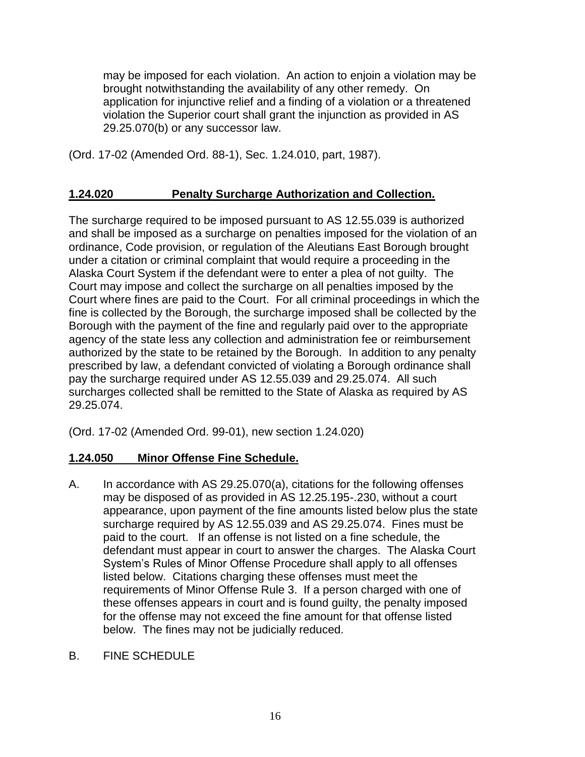may be imposed for each violation. An action to enjoin a violation may be brought notwithstanding the availability of any other remedy. On application for injunctive relief and a finding of a violation or a threatened violation the Superior court shall grant the injunction as provided in AS 29.25.070(b) or any successor law.

(Ord. 17-02 (Amended Ord. 88-1), Sec. 1.24.010, part, 1987).

# **1.24.020 Penalty Surcharge Authorization and Collection.**

The surcharge required to be imposed pursuant to AS 12.55.039 is authorized and shall be imposed as a surcharge on penalties imposed for the violation of an ordinance, Code provision, or regulation of the Aleutians East Borough brought under a citation or criminal complaint that would require a proceeding in the Alaska Court System if the defendant were to enter a plea of not guilty. The Court may impose and collect the surcharge on all penalties imposed by the Court where fines are paid to the Court. For all criminal proceedings in which the fine is collected by the Borough, the surcharge imposed shall be collected by the Borough with the payment of the fine and regularly paid over to the appropriate agency of the state less any collection and administration fee or reimbursement authorized by the state to be retained by the Borough. In addition to any penalty prescribed by law, a defendant convicted of violating a Borough ordinance shall pay the surcharge required under AS 12.55.039 and 29.25.074. All such surcharges collected shall be remitted to the State of Alaska as required by AS 29.25.074.

(Ord. 17-02 (Amended Ord. 99-01), new section 1.24.020)

# **1.24.050 Minor Offense Fine Schedule.**

- A. In accordance with AS 29.25.070(a), citations for the following offenses may be disposed of as provided in AS 12.25.195-.230, without a court appearance, upon payment of the fine amounts listed below plus the state surcharge required by AS 12.55.039 and AS 29.25.074. Fines must be paid to the court. If an offense is not listed on a fine schedule, the defendant must appear in court to answer the charges. The Alaska Court System's Rules of Minor Offense Procedure shall apply to all offenses listed below. Citations charging these offenses must meet the requirements of Minor Offense Rule 3. If a person charged with one of these offenses appears in court and is found guilty, the penalty imposed for the offense may not exceed the fine amount for that offense listed below. The fines may not be judicially reduced.
- B. FINE SCHEDULE